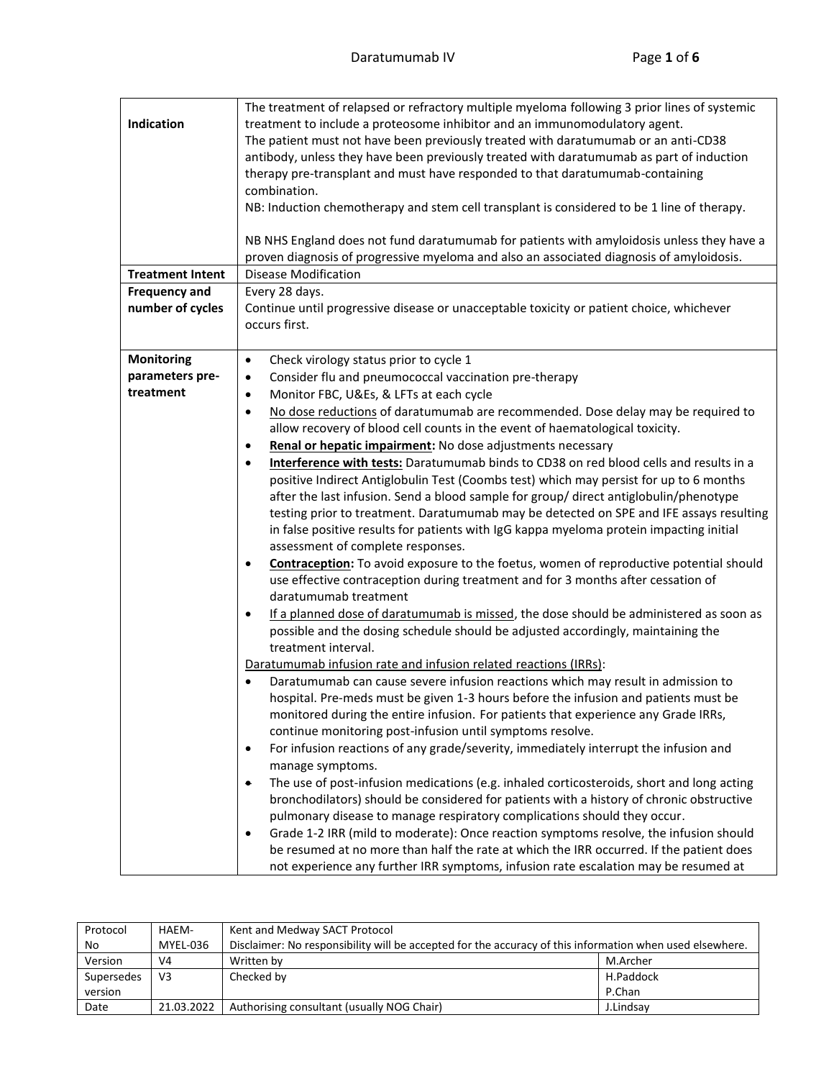| Indication<br><b>Treatment Intent</b><br><b>Frequency and</b><br>number of cycles | The treatment of relapsed or refractory multiple myeloma following 3 prior lines of systemic<br>treatment to include a proteosome inhibitor and an immunomodulatory agent.<br>The patient must not have been previously treated with daratumumab or an anti-CD38<br>antibody, unless they have been previously treated with daratumumab as part of induction<br>therapy pre-transplant and must have responded to that daratumumab-containing<br>combination.<br>NB: Induction chemotherapy and stem cell transplant is considered to be 1 line of therapy.<br>NB NHS England does not fund daratumumab for patients with amyloidosis unless they have a<br>proven diagnosis of progressive myeloma and also an associated diagnosis of amyloidosis.<br>Disease Modification<br>Every 28 days.<br>Continue until progressive disease or unacceptable toxicity or patient choice, whichever<br>occurs first. |
|-----------------------------------------------------------------------------------|-------------------------------------------------------------------------------------------------------------------------------------------------------------------------------------------------------------------------------------------------------------------------------------------------------------------------------------------------------------------------------------------------------------------------------------------------------------------------------------------------------------------------------------------------------------------------------------------------------------------------------------------------------------------------------------------------------------------------------------------------------------------------------------------------------------------------------------------------------------------------------------------------------------|
| <b>Monitoring</b>                                                                 | Check virology status prior to cycle 1<br>$\bullet$                                                                                                                                                                                                                                                                                                                                                                                                                                                                                                                                                                                                                                                                                                                                                                                                                                                         |
| parameters pre-                                                                   | Consider flu and pneumococcal vaccination pre-therapy<br>٠                                                                                                                                                                                                                                                                                                                                                                                                                                                                                                                                                                                                                                                                                                                                                                                                                                                  |
| treatment                                                                         | Monitor FBC, U&Es, & LFTs at each cycle<br>$\bullet$                                                                                                                                                                                                                                                                                                                                                                                                                                                                                                                                                                                                                                                                                                                                                                                                                                                        |
|                                                                                   | No dose reductions of daratumumab are recommended. Dose delay may be required to<br>$\bullet$                                                                                                                                                                                                                                                                                                                                                                                                                                                                                                                                                                                                                                                                                                                                                                                                               |
|                                                                                   | allow recovery of blood cell counts in the event of haematological toxicity.                                                                                                                                                                                                                                                                                                                                                                                                                                                                                                                                                                                                                                                                                                                                                                                                                                |
|                                                                                   | Renal or hepatic impairment: No dose adjustments necessary                                                                                                                                                                                                                                                                                                                                                                                                                                                                                                                                                                                                                                                                                                                                                                                                                                                  |
|                                                                                   | Interference with tests: Daratumumab binds to CD38 on red blood cells and results in a<br>٠<br>positive Indirect Antiglobulin Test (Coombs test) which may persist for up to 6 months<br>after the last infusion. Send a blood sample for group/ direct antiglobulin/phenotype<br>testing prior to treatment. Daratumumab may be detected on SPE and IFE assays resulting<br>in false positive results for patients with IgG kappa myeloma protein impacting initial<br>assessment of complete responses.                                                                                                                                                                                                                                                                                                                                                                                                   |
|                                                                                   | Contraception: To avoid exposure to the foetus, women of reproductive potential should<br>٠<br>use effective contraception during treatment and for 3 months after cessation of<br>daratumumab treatment                                                                                                                                                                                                                                                                                                                                                                                                                                                                                                                                                                                                                                                                                                    |
|                                                                                   | If a planned dose of daratumumab is missed, the dose should be administered as soon as<br>$\bullet$<br>possible and the dosing schedule should be adjusted accordingly, maintaining the<br>treatment interval.                                                                                                                                                                                                                                                                                                                                                                                                                                                                                                                                                                                                                                                                                              |
|                                                                                   | Daratumumab infusion rate and infusion related reactions (IRRs):                                                                                                                                                                                                                                                                                                                                                                                                                                                                                                                                                                                                                                                                                                                                                                                                                                            |
|                                                                                   | Daratumumab can cause severe infusion reactions which may result in admission to<br>$\bullet$                                                                                                                                                                                                                                                                                                                                                                                                                                                                                                                                                                                                                                                                                                                                                                                                               |
|                                                                                   | hospital. Pre-meds must be given 1-3 hours before the infusion and patients must be                                                                                                                                                                                                                                                                                                                                                                                                                                                                                                                                                                                                                                                                                                                                                                                                                         |
|                                                                                   | monitored during the entire infusion. For patients that experience any Grade IRRs,<br>continue monitoring post-infusion until symptoms resolve.                                                                                                                                                                                                                                                                                                                                                                                                                                                                                                                                                                                                                                                                                                                                                             |
|                                                                                   | For infusion reactions of any grade/severity, immediately interrupt the infusion and<br>$\bullet$                                                                                                                                                                                                                                                                                                                                                                                                                                                                                                                                                                                                                                                                                                                                                                                                           |
|                                                                                   | manage symptoms.                                                                                                                                                                                                                                                                                                                                                                                                                                                                                                                                                                                                                                                                                                                                                                                                                                                                                            |
|                                                                                   | The use of post-infusion medications (e.g. inhaled corticosteroids, short and long acting<br>۰<br>bronchodilators) should be considered for patients with a history of chronic obstructive<br>pulmonary disease to manage respiratory complications should they occur.                                                                                                                                                                                                                                                                                                                                                                                                                                                                                                                                                                                                                                      |
|                                                                                   | Grade 1-2 IRR (mild to moderate): Once reaction symptoms resolve, the infusion should<br>$\bullet$<br>be resumed at no more than half the rate at which the IRR occurred. If the patient does<br>not experience any further IRR symptoms, infusion rate escalation may be resumed at                                                                                                                                                                                                                                                                                                                                                                                                                                                                                                                                                                                                                        |

| Protocol   | HAEM-          | Kent and Medway SACT Protocol                                                                            |           |
|------------|----------------|----------------------------------------------------------------------------------------------------------|-----------|
| No         | MYEL-036       | Disclaimer: No responsibility will be accepted for the accuracy of this information when used elsewhere. |           |
| Version    | V4             | Written by                                                                                               | M.Archer  |
| Supersedes | V <sub>3</sub> | Checked by                                                                                               | H.Paddock |
| version    |                |                                                                                                          | P.Chan    |
| Date       | 21.03.2022     | Authorising consultant (usually NOG Chair)                                                               | J.Lindsav |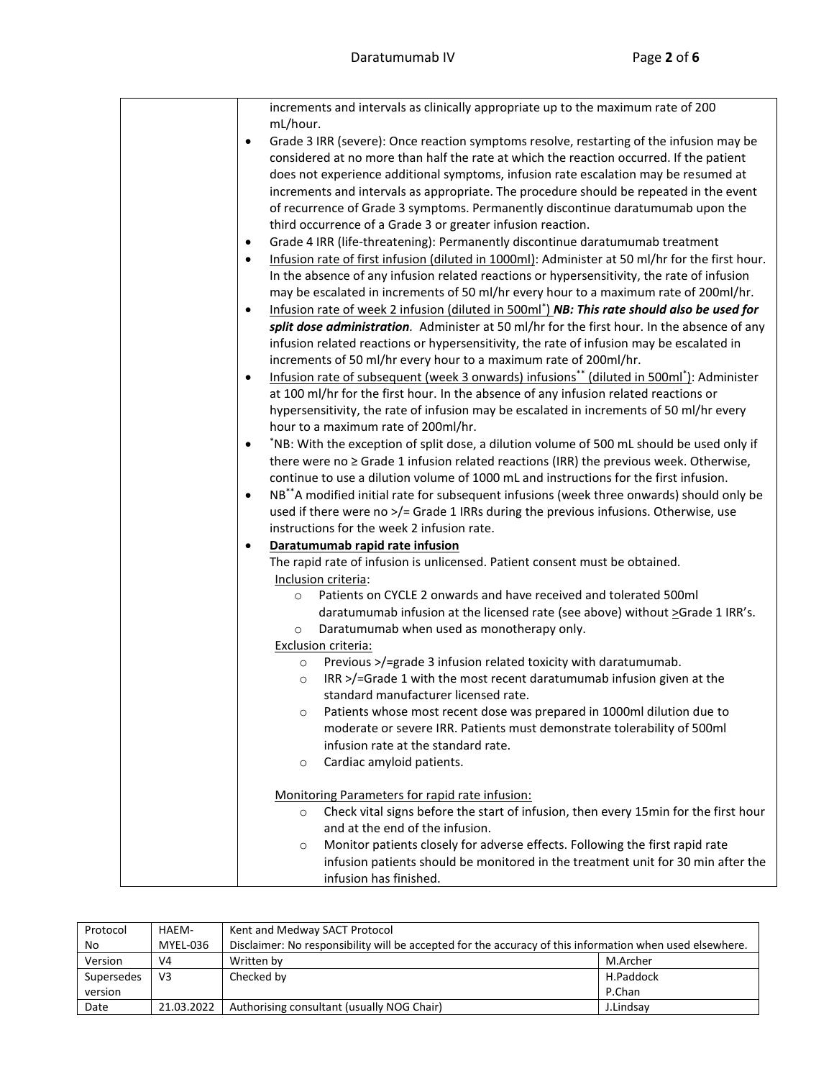|  | increments and intervals as clinically appropriate up to the maximum rate of 200                                     |
|--|----------------------------------------------------------------------------------------------------------------------|
|  | mL/hour.                                                                                                             |
|  | Grade 3 IRR (severe): Once reaction symptoms resolve, restarting of the infusion may be<br>$\bullet$                 |
|  | considered at no more than half the rate at which the reaction occurred. If the patient                              |
|  | does not experience additional symptoms, infusion rate escalation may be resumed at                                  |
|  | increments and intervals as appropriate. The procedure should be repeated in the event                               |
|  | of recurrence of Grade 3 symptoms. Permanently discontinue daratumumab upon the                                      |
|  | third occurrence of a Grade 3 or greater infusion reaction.                                                          |
|  | Grade 4 IRR (life-threatening): Permanently discontinue daratumumab treatment<br>$\bullet$                           |
|  | Infusion rate of first infusion (diluted in 1000ml): Administer at 50 ml/hr for the first hour.<br>$\bullet$         |
|  | In the absence of any infusion related reactions or hypersensitivity, the rate of infusion                           |
|  | may be escalated in increments of 50 ml/hr every hour to a maximum rate of 200ml/hr.                                 |
|  | Infusion rate of week 2 infusion (diluted in 500ml <sup>*</sup> ) NB: This rate should also be used for<br>$\bullet$ |
|  | split dose administration. Administer at 50 ml/hr for the first hour. In the absence of any                          |
|  | infusion related reactions or hypersensitivity, the rate of infusion may be escalated in                             |
|  | increments of 50 ml/hr every hour to a maximum rate of 200ml/hr.                                                     |
|  | Infusion rate of subsequent (week 3 onwards) infusions** (diluted in 500ml*): Administer<br>$\bullet$                |
|  | at 100 ml/hr for the first hour. In the absence of any infusion related reactions or                                 |
|  | hypersensitivity, the rate of infusion may be escalated in increments of 50 ml/hr every                              |
|  | hour to a maximum rate of 200ml/hr.                                                                                  |
|  | *NB: With the exception of split dose, a dilution volume of 500 mL should be used only if<br>$\bullet$               |
|  | there were no ≥ Grade 1 infusion related reactions (IRR) the previous week. Otherwise,                               |
|  | continue to use a dilution volume of 1000 mL and instructions for the first infusion.                                |
|  |                                                                                                                      |
|  | NB**A modified initial rate for subsequent infusions (week three onwards) should only be<br>$\bullet$                |
|  | used if there were no >/= Grade 1 IRRs during the previous infusions. Otherwise, use                                 |
|  | instructions for the week 2 infusion rate.                                                                           |
|  | Daratumumab rapid rate infusion<br>$\bullet$                                                                         |
|  | The rapid rate of infusion is unlicensed. Patient consent must be obtained.                                          |
|  | Inclusion criteria:                                                                                                  |
|  | Patients on CYCLE 2 onwards and have received and tolerated 500ml<br>$\circ$                                         |
|  | daratumumab infusion at the licensed rate (see above) without >Grade 1 IRR's.                                        |
|  | Daratumumab when used as monotherapy only.<br>$\circ$                                                                |
|  | Exclusion criteria:                                                                                                  |
|  | Previous >/=grade 3 infusion related toxicity with daratumumab.<br>$\circ$                                           |
|  | IRR >/=Grade 1 with the most recent daratumumab infusion given at the<br>$\circ$                                     |
|  | standard manufacturer licensed rate.                                                                                 |
|  | Patients whose most recent dose was prepared in 1000ml dilution due to<br>O                                          |
|  | moderate or severe IRR. Patients must demonstrate tolerability of 500ml                                              |
|  | infusion rate at the standard rate.                                                                                  |
|  | Cardiac amyloid patients.<br>$\circ$                                                                                 |
|  |                                                                                                                      |
|  | Monitoring Parameters for rapid rate infusion:                                                                       |
|  | Check vital signs before the start of infusion, then every 15min for the first hour<br>$\circ$                       |
|  | and at the end of the infusion.                                                                                      |
|  | Monitor patients closely for adverse effects. Following the first rapid rate<br>$\circ$                              |
|  | infusion patients should be monitored in the treatment unit for 30 min after the                                     |
|  | infusion has finished.                                                                                               |

| Protocol   | HAEM-          | Kent and Medway SACT Protocol                                                                            |           |
|------------|----------------|----------------------------------------------------------------------------------------------------------|-----------|
| No         | MYEL-036       | Disclaimer: No responsibility will be accepted for the accuracy of this information when used elsewhere. |           |
| Version    | V4             | Written by                                                                                               | M.Archer  |
| Supersedes | V <sub>3</sub> | Checked by                                                                                               | H.Paddock |
| version    |                |                                                                                                          | P.Chan    |
| Date       | 21.03.2022     | Authorising consultant (usually NOG Chair)                                                               | J.Lindsav |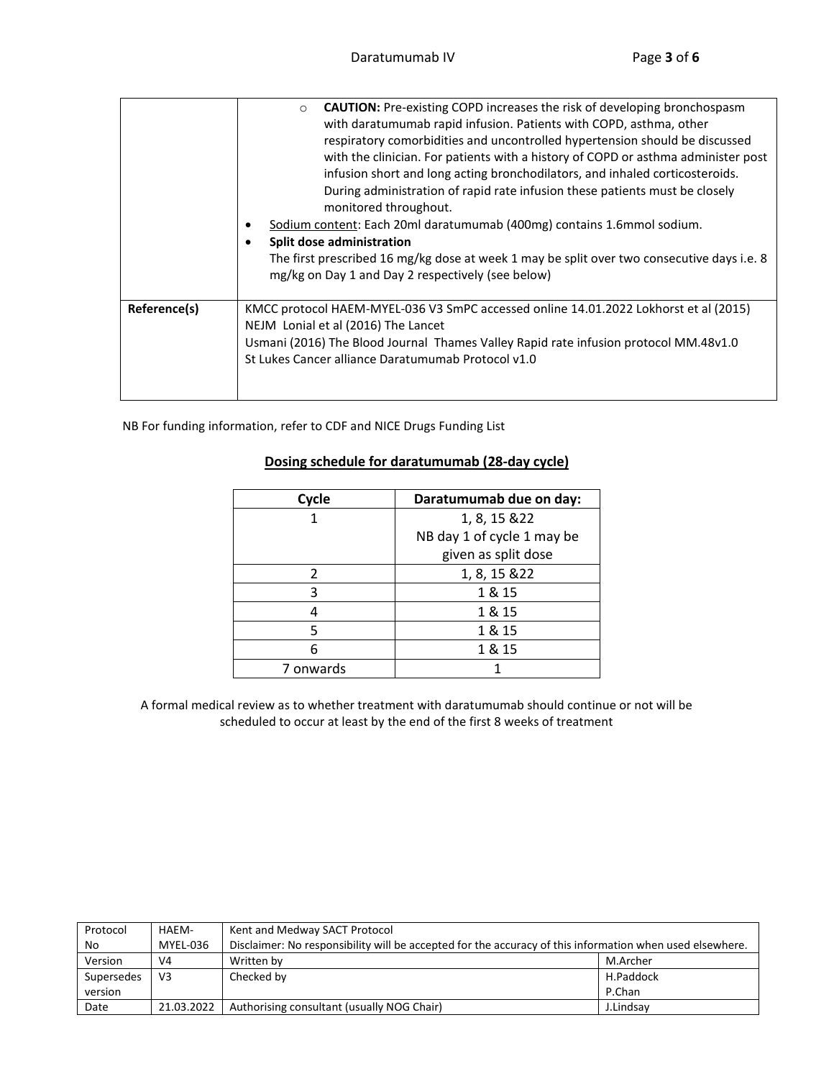|              | <b>CAUTION:</b> Pre-existing COPD increases the risk of developing bronchospasm<br>$\circ$<br>with daratumumab rapid infusion. Patients with COPD, asthma, other<br>respiratory comorbidities and uncontrolled hypertension should be discussed<br>with the clinician. For patients with a history of COPD or asthma administer post<br>infusion short and long acting bronchodilators, and inhaled corticosteroids.<br>During administration of rapid rate infusion these patients must be closely<br>monitored throughout.<br>Sodium content: Each 20ml daratumumab (400mg) contains 1.6mmol sodium.<br>Split dose administration<br>The first prescribed 16 mg/kg dose at week 1 may be split over two consecutive days i.e. 8<br>mg/kg on Day 1 and Day 2 respectively (see below) |
|--------------|----------------------------------------------------------------------------------------------------------------------------------------------------------------------------------------------------------------------------------------------------------------------------------------------------------------------------------------------------------------------------------------------------------------------------------------------------------------------------------------------------------------------------------------------------------------------------------------------------------------------------------------------------------------------------------------------------------------------------------------------------------------------------------------|
| Reference(s) | KMCC protocol HAEM-MYEL-036 V3 SmPC accessed online 14.01.2022 Lokhorst et al (2015)<br>NEJM Lonial et al (2016) The Lancet<br>Usmani (2016) The Blood Journal Thames Valley Rapid rate infusion protocol MM.48v1.0<br>St Lukes Cancer alliance Daratumumab Protocol v1.0                                                                                                                                                                                                                                                                                                                                                                                                                                                                                                              |

NB For funding information, refer to CDF and NICE Drugs Funding List

### **Dosing schedule for daratumumab (28-day cycle)**

| Cycle     | Daratumumab due on day:    |
|-----------|----------------------------|
|           | 1, 8, 15 & 22              |
|           | NB day 1 of cycle 1 may be |
|           | given as split dose        |
| 2         | 1, 8, 15 & 22              |
| ς         | 1 & 15                     |
|           | 1 & 15                     |
| 5         | 1 & 15                     |
| 6         | 1 & 15                     |
| 7 onwards |                            |

A formal medical review as to whether treatment with daratumumab should continue or not will be scheduled to occur at least by the end of the first 8 weeks of treatment

| Protocol   | HAEM-          | Kent and Medway SACT Protocol                                                                            |           |
|------------|----------------|----------------------------------------------------------------------------------------------------------|-----------|
| No         | MYEL-036       | Disclaimer: No responsibility will be accepted for the accuracy of this information when used elsewhere. |           |
| Version    | V <sub>4</sub> | Written by                                                                                               | M.Archer  |
| Supersedes | V <sub>3</sub> | Checked by                                                                                               | H.Paddock |
| version    |                |                                                                                                          | P.Chan    |
| Date       | 21.03.2022     | Authorising consultant (usually NOG Chair)                                                               | J.Lindsav |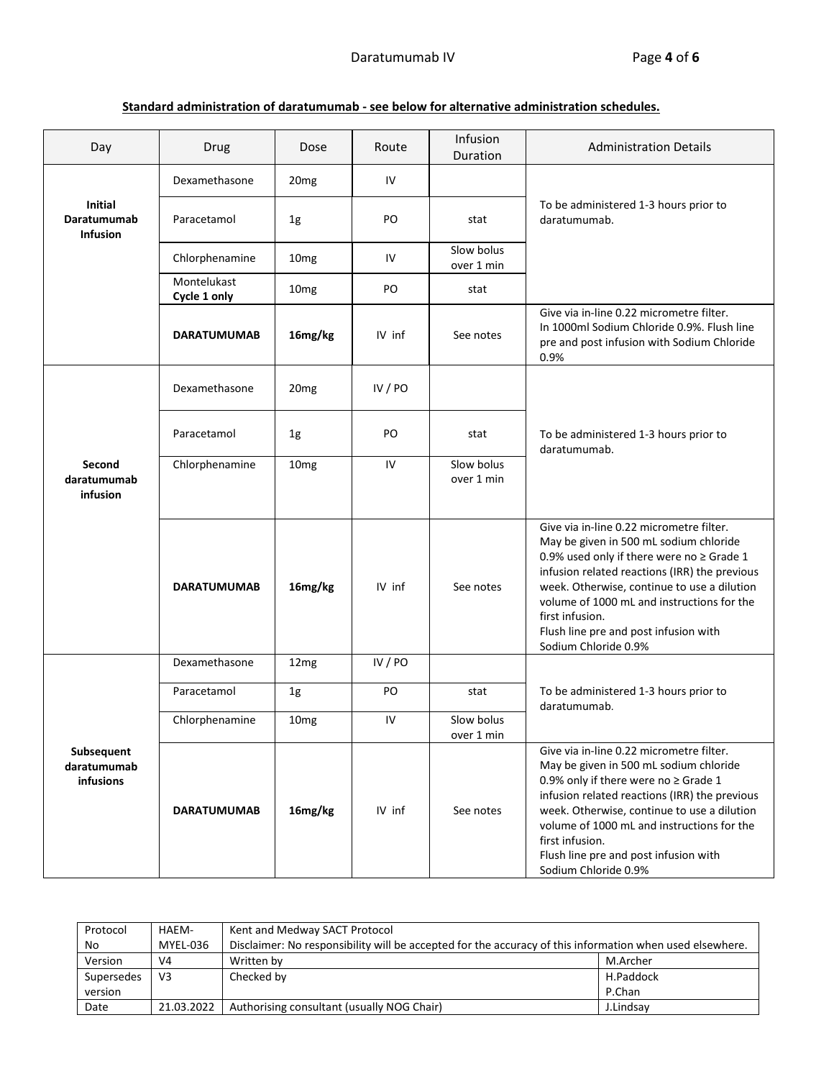**Standard administration of daratumumab - see below for alternative administration schedules.**

| Day                                              | Drug                        | Dose             | Route     | Infusion<br>Duration     | <b>Administration Details</b>                                                                                                                                                                                                                                                                                                                                          |
|--------------------------------------------------|-----------------------------|------------------|-----------|--------------------------|------------------------------------------------------------------------------------------------------------------------------------------------------------------------------------------------------------------------------------------------------------------------------------------------------------------------------------------------------------------------|
|                                                  | Dexamethasone               | 20 <sub>mg</sub> | IV        |                          |                                                                                                                                                                                                                                                                                                                                                                        |
| <b>Initial</b><br>Daratumumab<br><b>Infusion</b> | Paracetamol                 | 1g               | PO        | stat                     | To be administered 1-3 hours prior to<br>daratumumab.                                                                                                                                                                                                                                                                                                                  |
|                                                  | Chlorphenamine              | 10 <sub>mg</sub> | IV        | Slow bolus<br>over 1 min |                                                                                                                                                                                                                                                                                                                                                                        |
|                                                  | Montelukast<br>Cycle 1 only | 10 <sub>mg</sub> | PO        | stat                     |                                                                                                                                                                                                                                                                                                                                                                        |
|                                                  | <b>DARATUMUMAB</b>          | 16mg/kg          | IV inf    | See notes                | Give via in-line 0.22 micrometre filter.<br>In 1000ml Sodium Chloride 0.9%. Flush line<br>pre and post infusion with Sodium Chloride<br>0.9%                                                                                                                                                                                                                           |
|                                                  | Dexamethasone               | 20 <sub>mg</sub> | IV / $PO$ |                          |                                                                                                                                                                                                                                                                                                                                                                        |
|                                                  | Paracetamol                 | 1 <sub>g</sub>   | PO        | stat                     | To be administered 1-3 hours prior to<br>daratumumab.                                                                                                                                                                                                                                                                                                                  |
| Second<br>daratumumab<br>infusion                | Chlorphenamine              | 10 <sub>mg</sub> | IV        | Slow bolus<br>over 1 min |                                                                                                                                                                                                                                                                                                                                                                        |
|                                                  | <b>DARATUMUMAB</b>          | 16mg/kg          | IV inf    | See notes                | Give via in-line 0.22 micrometre filter.<br>May be given in 500 mL sodium chloride<br>0.9% used only if there were no $\geq$ Grade 1<br>infusion related reactions (IRR) the previous<br>week. Otherwise, continue to use a dilution<br>volume of 1000 mL and instructions for the<br>first infusion.<br>Flush line pre and post infusion with<br>Sodium Chloride 0.9% |
|                                                  | Dexamethasone               | 12mg             | IV / $PO$ |                          |                                                                                                                                                                                                                                                                                                                                                                        |
|                                                  | Paracetamol                 | 1g               | PO        | stat                     | To be administered 1-3 hours prior to<br>daratumumab.                                                                                                                                                                                                                                                                                                                  |
|                                                  | Chlorphenamine              | 10 <sub>mg</sub> | IV        | Slow bolus<br>over 1 min |                                                                                                                                                                                                                                                                                                                                                                        |
| Subsequent<br>daratumumab<br>infusions           | <b>DARATUMUMAB</b>          | 16mg/kg          | IV inf    | See notes                | Give via in-line 0.22 micrometre filter.<br>May be given in 500 mL sodium chloride<br>0.9% only if there were no $\geq$ Grade 1<br>infusion related reactions (IRR) the previous<br>week. Otherwise, continue to use a dilution<br>volume of 1000 mL and instructions for the<br>first infusion.<br>Flush line pre and post infusion with<br>Sodium Chloride 0.9%      |

| Protocol   | HAEM-          | Kent and Medway SACT Protocol                                                                            |           |
|------------|----------------|----------------------------------------------------------------------------------------------------------|-----------|
| No         | MYEL-036       | Disclaimer: No responsibility will be accepted for the accuracy of this information when used elsewhere. |           |
| Version    | V <sub>4</sub> | Written by                                                                                               | M.Archer  |
| Supersedes | V <sub>3</sub> | Checked by                                                                                               | H.Paddock |
| version    |                |                                                                                                          | P.Chan    |
| Date       | 21.03.2022     | Authorising consultant (usually NOG Chair)                                                               | J.Lindsav |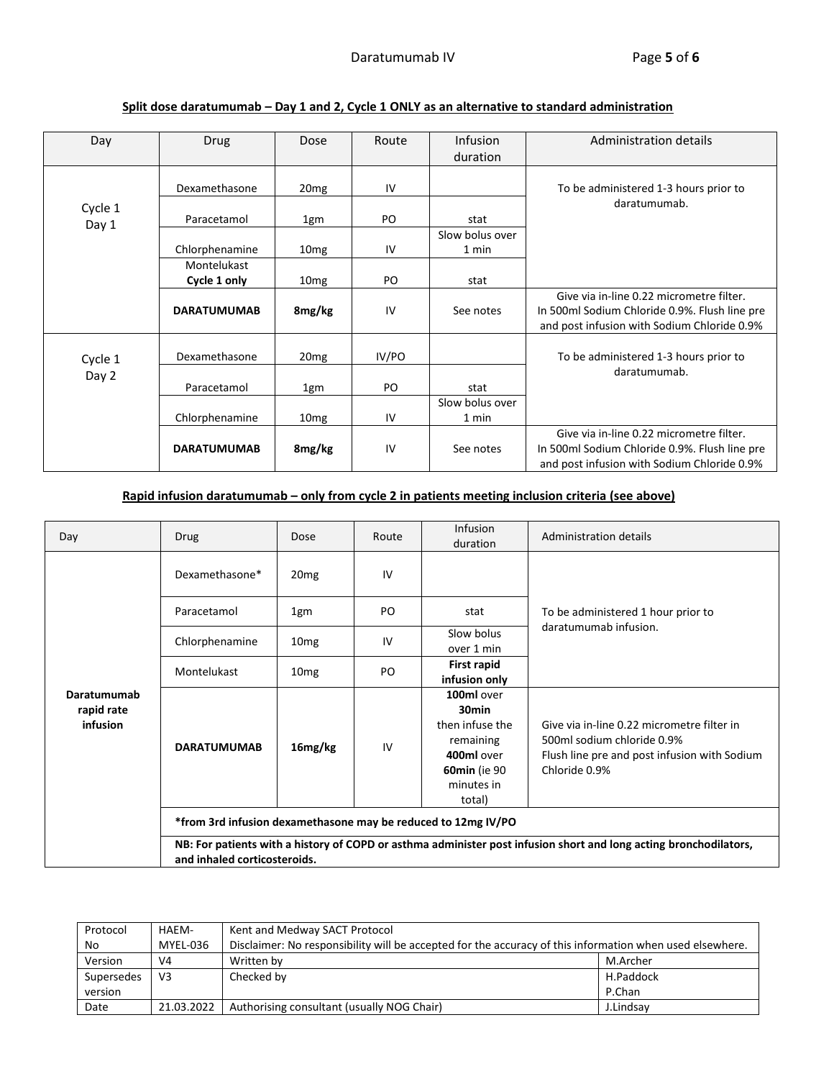| Day     | <b>Drug</b>        | Dose             | Route | <b>Infusion</b><br>duration | Administration details                                                                                                                   |
|---------|--------------------|------------------|-------|-----------------------------|------------------------------------------------------------------------------------------------------------------------------------------|
|         | Dexamethasone      | 20 <sub>mg</sub> | IV    |                             | To be administered 1-3 hours prior to                                                                                                    |
| Cycle 1 | Paracetamol        |                  | PO.   | stat                        | daratumumab.                                                                                                                             |
| Day 1   |                    | 1gm              |       | Slow bolus over             |                                                                                                                                          |
|         | Chlorphenamine     | 10 <sub>mg</sub> | IV    | 1 min                       |                                                                                                                                          |
|         | Montelukast        |                  |       |                             |                                                                                                                                          |
|         | Cycle 1 only       | 10 <sub>mg</sub> | PO    | stat                        |                                                                                                                                          |
|         | <b>DARATUMUMAB</b> | 8mg/kg           | IV    | See notes                   | Give via in-line 0.22 micrometre filter.<br>In 500ml Sodium Chloride 0.9%. Flush line pre<br>and post infusion with Sodium Chloride 0.9% |
| Cycle 1 | Dexamethasone      | 20 <sub>mg</sub> | IV/PO |                             | To be administered 1-3 hours prior to                                                                                                    |
| Day 2   | Paracetamol        | 1gm              | PO    | stat                        | daratumumab.                                                                                                                             |
|         |                    |                  |       | Slow bolus over             |                                                                                                                                          |
|         | Chlorphenamine     | 10 <sub>mg</sub> | IV    | 1 min                       |                                                                                                                                          |
|         | <b>DARATUMUMAB</b> | 8mg/kg           | IV    | See notes                   | Give via in-line 0.22 micrometre filter.<br>In 500ml Sodium Chloride 0.9%. Flush line pre<br>and post infusion with Sodium Chloride 0.9% |

# **Split dose daratumumab – Day 1 and 2, Cycle 1 ONLY as an alternative to standard administration**

# **Rapid infusion daratumumab – only from cycle 2 in patients meeting inclusion criteria (see above)**

| Day                                   | Drug                                                                                                                                              | Dose                | Route | <b>Infusion</b><br>duration                                                                                                  | Administration details                                                                                                                    |
|---------------------------------------|---------------------------------------------------------------------------------------------------------------------------------------------------|---------------------|-------|------------------------------------------------------------------------------------------------------------------------------|-------------------------------------------------------------------------------------------------------------------------------------------|
|                                       | Dexamethasone*                                                                                                                                    | 20 <sub>mg</sub>    | 1V    |                                                                                                                              |                                                                                                                                           |
|                                       | Paracetamol                                                                                                                                       | 1gm                 | PO    | stat                                                                                                                         | To be administered 1 hour prior to                                                                                                        |
| Daratumumab<br>rapid rate<br>infusion | Chlorphenamine                                                                                                                                    | 10 <sub>mg</sub>    | IV    | Slow bolus<br>over 1 min                                                                                                     | daratumumab infusion.                                                                                                                     |
|                                       | Montelukast                                                                                                                                       | 10 <sub>mg</sub>    | PO.   | First rapid<br>infusion only                                                                                                 |                                                                                                                                           |
|                                       | <b>DARATUMUMAB</b>                                                                                                                                | 16 <sub>mg/kg</sub> | IV    | 100ml over<br>30 <sub>min</sub><br>then infuse the<br>remaining<br>400ml over<br><b>60min</b> (ie 90<br>minutes in<br>total) | Give via in-line 0.22 micrometre filter in<br>500ml sodium chloride 0.9%<br>Flush line pre and post infusion with Sodium<br>Chloride 0.9% |
|                                       | *from 3rd infusion dexamethasone may be reduced to 12mg IV/PO                                                                                     |                     |       |                                                                                                                              |                                                                                                                                           |
|                                       | NB: For patients with a history of COPD or asthma administer post infusion short and long acting bronchodilators,<br>and inhaled corticosteroids. |                     |       |                                                                                                                              |                                                                                                                                           |

| Protocol   | HAEM-          | Kent and Medway SACT Protocol                                                                            |           |
|------------|----------------|----------------------------------------------------------------------------------------------------------|-----------|
| No         | MYEL-036       | Disclaimer: No responsibility will be accepted for the accuracy of this information when used elsewhere. |           |
| Version    | V <sub>4</sub> | Written by                                                                                               | M.Archer  |
| Supersedes | V <sub>3</sub> | Checked by                                                                                               | H.Paddock |
| version    |                |                                                                                                          | P.Chan    |
| Date       | 21.03.2022     | Authorising consultant (usually NOG Chair)                                                               | J.Lindsav |